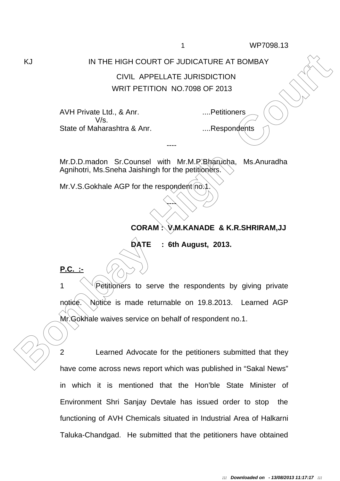## KJ IN THE HIGH COURT OF JUDICATURE AT BOMBAY

## CIVIL APPELLATE JURISDICTION WRIT PETITION NO.7098 OF 2013

AVH Private Ltd., & Anr. ....Petitioners V/s. State of Maharashtra & Anr. ....Respondents

Mr.D.D.madon Sr.Counsel with Mr.M.P.Bharucha, Ms.Anuradha Agnihotri, Ms. Sneha Jaishingh for the petitioners.

----

----

Mr.V.S.Gokhale AGP for the respondent no.1

## **CORAM : V.M.KANADE & K.R.SHRIRAM,JJ**

**DATE : 6th August, 2013.** 

**P.C. :-**

**EXAMPLE HIGH COURT OF JUDICATURE AT BOMBAY**<br>
CIVIL APPELLATE JURISDICTION<br>
WRIT PETITION NO.7088 OF 2013<br>
AVH Private Ltd., & Ant.<br>
State of Maharashtra & Ant.<br>
.......Respondents<br>
AVH Private Ltd., & Ant.<br>
State of Mahar  $1 \quad \sqrt{\ }$  Petitioners to serve the respondents by giving private notice. Notice is made returnable on 19.8.2013. Learned AGP Mr.Gokhale waives service on behalf of respondent no.1.

2 Learned Advocate for the petitioners submitted that they have come across news report which was published in "Sakal News" in which it is mentioned that the Hon'ble State Minister of Environment Shri Sanjay Devtale has issued order to stop the functioning of AVH Chemicals situated in Industrial Area of Halkarni Taluka-Chandgad. He submitted that the petitioners have obtained